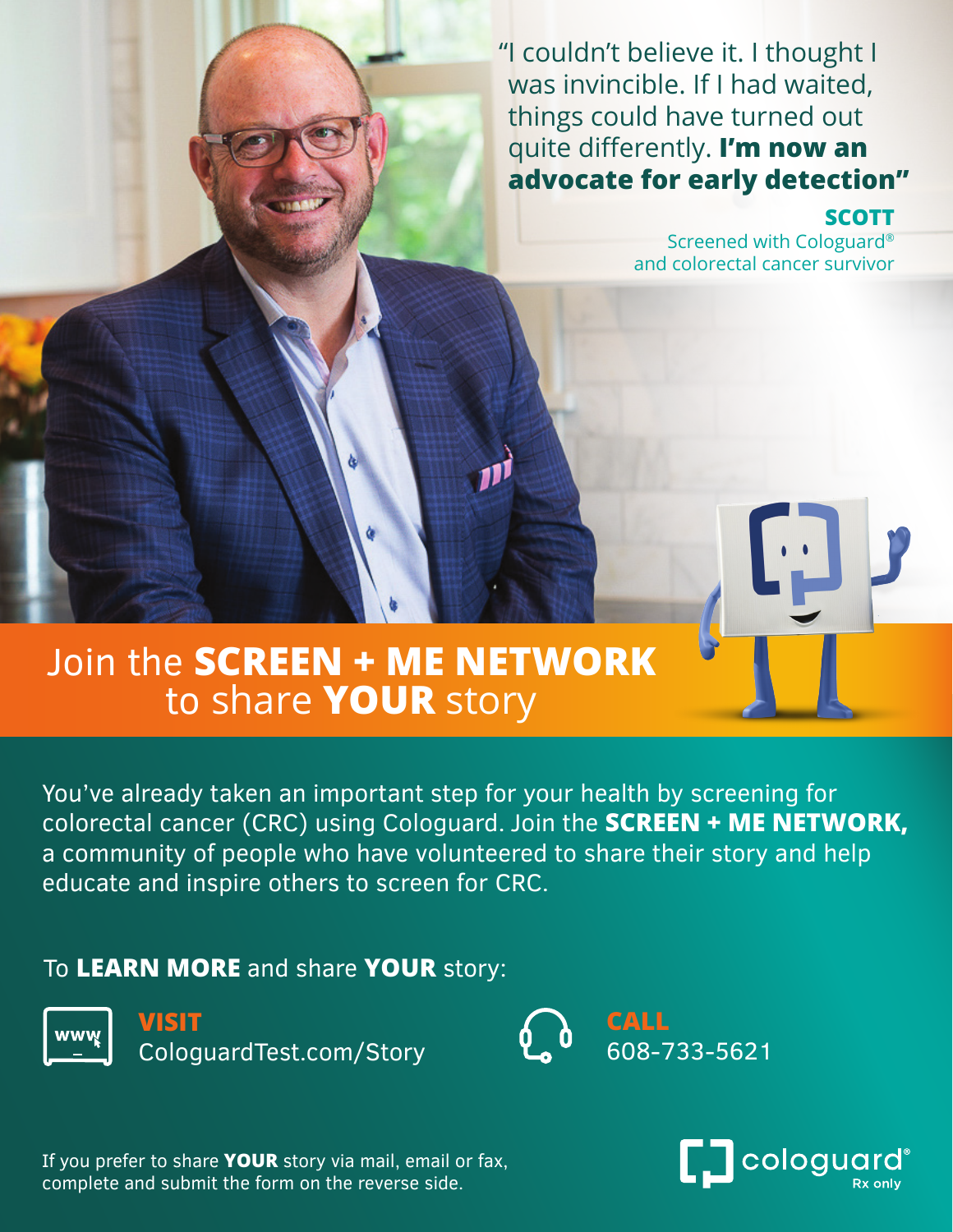"I couldn't believe it. I thought I was invincible. If I had waited, things could have turned out quite differently. **I'm now an advocate for early detection"**

### **SCOTT**

Screened with Cologuard® and colorectal cancer survivor

# Join the **SCREEN + ME NETWORK** to share **YOUR** story

You've already taken an important step for your health by screening for colorectal cancer (CRC) using Cologuard. Join the **SCREEN + ME NETWORK,**  a community of people who have volunteered to share their story and help educate and inspire others to screen for CRC.

## To **LEARN MORE** and share **YOUR** story:



**VISIT** CologuardTest.com/Story



If you prefer to share **YOUR** story via mail, email or fax, complete and submit the form on the reverse side.